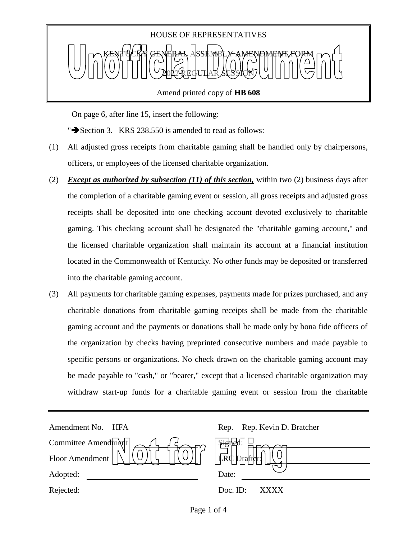

Amend printed copy of **HB 608**

On page 6, after line 15, insert the following:

" $\blacktriangleright$  Section 3. KRS 238.550 is amended to read as follows:

- (1) All adjusted gross receipts from charitable gaming shall be handled only by chairpersons, officers, or employees of the licensed charitable organization.
- (2) *Except as authorized by subsection (11) of this section,* within two (2) business days after the completion of a charitable gaming event or session, all gross receipts and adjusted gross receipts shall be deposited into one checking account devoted exclusively to charitable gaming. This checking account shall be designated the "charitable gaming account," and the licensed charitable organization shall maintain its account at a financial institution located in the Commonwealth of Kentucky. No other funds may be deposited or transferred into the charitable gaming account.
- (3) All payments for charitable gaming expenses, payments made for prizes purchased, and any charitable donations from charitable gaming receipts shall be made from the charitable gaming account and the payments or donations shall be made only by bona fide officers of the organization by checks having preprinted consecutive numbers and made payable to specific persons or organizations. No check drawn on the charitable gaming account may be made payable to "cash," or "bearer," except that a licensed charitable organization may withdraw start-up funds for a charitable gaming event or session from the charitable

| Amendment No.<br>HFA | Rep. Rep. Kevin D. Bratcher |
|----------------------|-----------------------------|
| Committee Amendment  | Signe                       |
| Floor Amendment      | $\mathbb{L}R\mathbb{C}$     |
| Adopted:             | Date:                       |
| Rejected:            | Doc. ID:<br>XXXX            |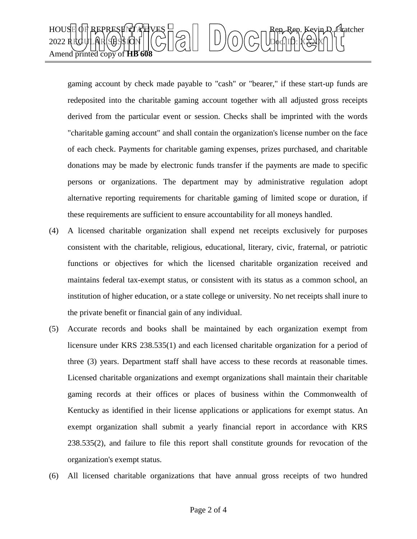

gaming account by check made payable to "cash" or "bearer," if these start-up funds are redeposited into the charitable gaming account together with all adjusted gross receipts derived from the particular event or session. Checks shall be imprinted with the words "charitable gaming account" and shall contain the organization's license number on the face of each check. Payments for charitable gaming expenses, prizes purchased, and charitable donations may be made by electronic funds transfer if the payments are made to specific persons or organizations. The department may by administrative regulation adopt alternative reporting requirements for charitable gaming of limited scope or duration, if these requirements are sufficient to ensure accountability for all moneys handled.

- (4) A licensed charitable organization shall expend net receipts exclusively for purposes consistent with the charitable, religious, educational, literary, civic, fraternal, or patriotic functions or objectives for which the licensed charitable organization received and maintains federal tax-exempt status, or consistent with its status as a common school, an institution of higher education, or a state college or university. No net receipts shall inure to the private benefit or financial gain of any individual.
- (5) Accurate records and books shall be maintained by each organization exempt from licensure under KRS 238.535(1) and each licensed charitable organization for a period of three (3) years. Department staff shall have access to these records at reasonable times. Licensed charitable organizations and exempt organizations shall maintain their charitable gaming records at their offices or places of business within the Commonwealth of Kentucky as identified in their license applications or applications for exempt status. An exempt organization shall submit a yearly financial report in accordance with KRS 238.535(2), and failure to file this report shall constitute grounds for revocation of the organization's exempt status.
- (6) All licensed charitable organizations that have annual gross receipts of two hundred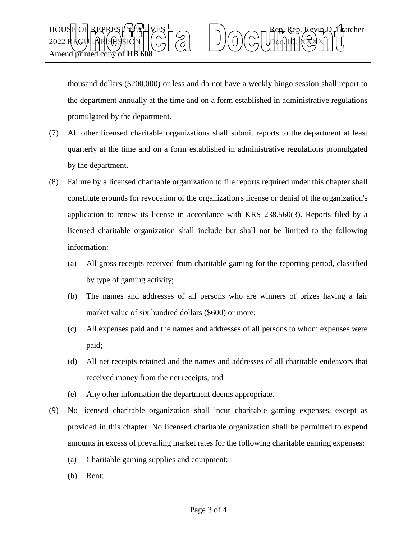

thousand dollars (\$200,000) or less and do not have a weekly bingo session shall report to the department annually at the time and on a form established in administrative regulations promulgated by the department.

- (7) All other licensed charitable organizations shall submit reports to the department at least quarterly at the time and on a form established in administrative regulations promulgated by the department.
- (8) Failure by a licensed charitable organization to file reports required under this chapter shall constitute grounds for revocation of the organization's license or denial of the organization's application to renew its license in accordance with KRS 238.560(3). Reports filed by a licensed charitable organization shall include but shall not be limited to the following information:
	- (a) All gross receipts received from charitable gaming for the reporting period, classified by type of gaming activity;
	- (b) The names and addresses of all persons who are winners of prizes having a fair market value of six hundred dollars (\$600) or more;
	- (c) All expenses paid and the names and addresses of all persons to whom expenses were paid;
	- (d) All net receipts retained and the names and addresses of all charitable endeavors that received money from the net receipts; and
	- (e) Any other information the department deems appropriate.
- (9) No licensed charitable organization shall incur charitable gaming expenses, except as provided in this chapter. No licensed charitable organization shall be permitted to expend amounts in excess of prevailing market rates for the following charitable gaming expenses:
	- (a) Charitable gaming supplies and equipment;
	- (b) Rent;